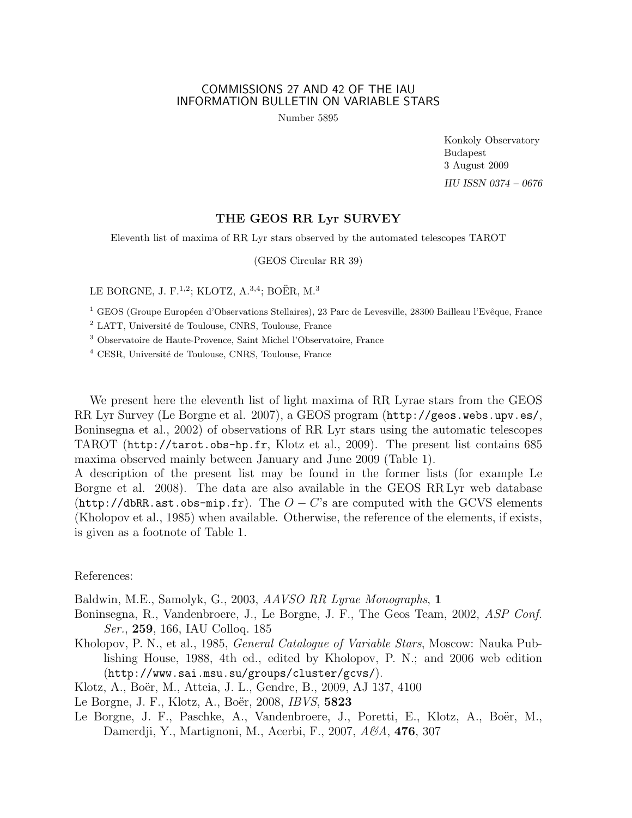## COMMISSIONS 27 AND 42 OF THE IAU INFORMATION BULLETIN ON VARIABLE STARS

Number 5895

Konkoly Observatory Budapest 3 August 2009 HU ISSN 0374 – 0676

## THE GEOS RR Lyr SURVEY

Eleventh list of maxima of RR Lyr stars observed by the automated telescopes TAROT

(GEOS Circular RR 39)

LE BORGNE, J. F.<sup>1,2</sup>; KLOTZ, A.<sup>3,4</sup>; BOËR, M.<sup>3</sup>

<sup>1</sup> GEOS (Groupe Européen d'Observations Stellaires), 23 Parc de Levesville, 28300 Bailleau l'Evêque, France

<sup>2</sup> LATT, Université de Toulouse, CNRS, Toulouse, France

<sup>3</sup> Observatoire de Haute-Provence, Saint Michel l'Observatoire, France

<sup>4</sup> CESR, Université de Toulouse, CNRS, Toulouse, France

We present here the eleventh list of light maxima of RR Lyrae stars from the GEOS RR Lyr Survey (Le Borgne et al. 2007), a GEOS program (http://geos.webs.upv.es/, Boninsegna et al., 2002) of observations of RR Lyr stars using the automatic telescopes TAROT (http://tarot.obs-hp.fr, Klotz et al., 2009). The present list contains 685 maxima observed mainly between January and June 2009 (Table 1).

A description of the present list may be found in the former lists (for example Le Borgne et al. 2008). The data are also available in the GEOS RR Lyr web database (http://dbRR.ast.obs-mip.fr). The  $O - C$ 's are computed with the GCVS elements (Kholopov et al., 1985) when available. Otherwise, the reference of the elements, if exists, is given as a footnote of Table 1.

References:

Baldwin, M.E., Samolyk, G., 2003, AAVSO RR Lyrae Monographs, 1

- Boninsegna, R., Vandenbroere, J., Le Borgne, J. F., The Geos Team, 2002, ASP Conf. Ser., 259, 166, IAU Colloq. 185
- Kholopov, P. N., et al., 1985, General Catalogue of Variable Stars, Moscow: Nauka Publishing House, 1988, 4th ed., edited by Kholopov, P. N.; and 2006 web edition (http://www.sai.msu.su/groups/cluster/gcvs/).

Klotz, A., Boër, M., Atteia, J. L., Gendre, B., 2009, AJ 137, 4100

Le Borgne, J. F., Klotz, A., Boër, 2008, *IBVS*, **5823** 

Le Borgne, J. F., Paschke, A., Vandenbroere, J., Poretti, E., Klotz, A., Boër, M., Damerdji, Y., Martignoni, M., Acerbi, F., 2007, A&A, **476**, 307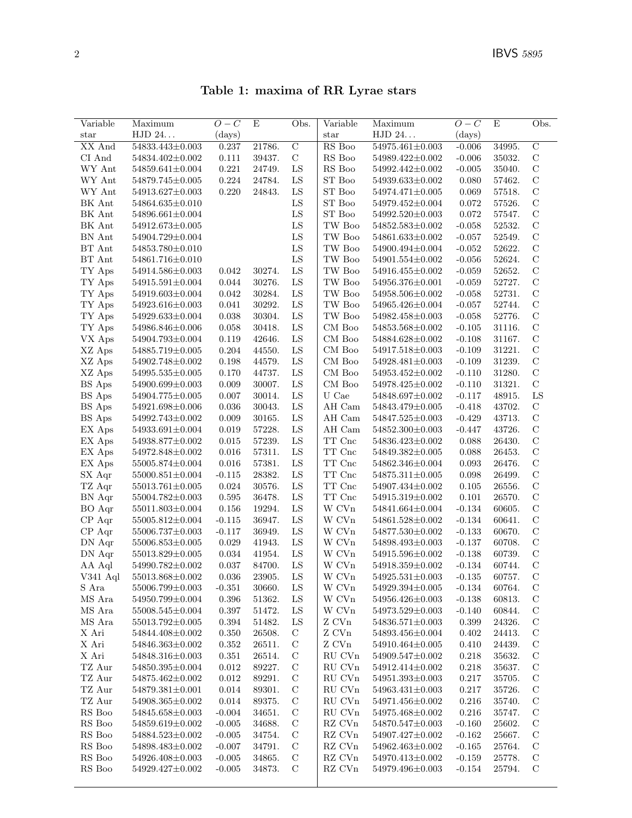Table 1: maxima of RR Lyrae stars

| Variable                     | Maximum               | $O-C$        | E      | Obs.           | Variable                | Maximum                            | $O-C$        | E                | Obs.           |
|------------------------------|-----------------------|--------------|--------|----------------|-------------------------|------------------------------------|--------------|------------------|----------------|
| star                         | ${\rm HJD}$ $24.$     | $\rm (days)$ |        |                | star                    | HJD 24                             | $\rm (days)$ |                  |                |
| XX And                       | 54833.443±0.003       | 0.237        | 21786. | $\overline{C}$ | RS Boo                  | 54975.461±0.003                    | $-0.006$     | 34995.           | $\overline{C}$ |
| CI And                       | 54834.402±0.002       | 0.111        | 39437. | $\mathbf C$    | $\mathop{\rm RS}$ Boo   | 54989.422±0.002                    | $-0.006$     | 35032.           | $\mathbf C$    |
| WY Ant                       | 54859.641±0.004       | 0.221        | 24749. | ${\rm LS}$     | RS Boo                  | 54992.442±0.002                    | $-0.005$     | 35040.           | $\mathbf C$    |
| WY Ant                       | 54879.745±0.005       | 0.224        | 24784. | ${\rm LS}$     | ${\rm ST}$ Boo          | 54939.633±0.002                    | 0.080        | 57462.           | $\mathcal{C}$  |
| WY Ant                       | 54913.627±0.003       | 0.220        | 24843. | ${\rm LS}$     | ST Boo                  | 54974.471±0.005                    | 0.069        | 57518.           | $\mathbf C$    |
| BK Ant                       | 54864.635±0.010       |              |        | LS             | ST Boo                  | 54979.452±0.004                    | 0.072        | 57526.           | $\mathbf C$    |
| BK Ant                       | 54896.661±0.004       |              |        | ${\rm LS}$     | ${\rm ST}$ Boo          | 54992.520±0.003                    | 0.072        | 57547.           | $\mathbf C$    |
| BK Ant                       | 54912.673±0.005       |              |        | ${\rm LS}$     | TW Boo                  | 54852.583±0.002                    | $-0.058$     | 52532.           | $\mathbf C$    |
| BN Ant                       | 54904.729±0.004       |              |        | LS             | $\operatorname{TW}$ Boo | 54861.633±0.002                    | $-0.057$     | 52549.           | $\mathbf C$    |
| BT Ant                       | 54853.780±0.010       |              |        | ${\rm LS}$     | $\operatorname{TW}$ Boo | 54900.494±0.004                    | $-0.052$     | 52622.           | $\mathbf C$    |
| BT Ant                       | 54861.716±0.010       |              |        | ${\rm LS}$     | TW Boo                  | 54901.554±0.002                    | $-0.056$     | 52624.           | $\mathbf C$    |
| TY Aps                       | 54914.586±0.003       | 0.042        | 30274. | ${\rm LS}$     | TW Boo                  | 54916.455±0.002                    | $-0.059$     | 52652.           | $\mathbf C$    |
| TY Aps                       | 54915.591±0.004       | 0.044        | 30276. | ${\rm LS}$     | $\operatorname{TW}$ Boo | 54956.376±0.001                    | $-0.059$     | 52727.           | $\mathcal{C}$  |
| TY Aps                       | 54919.603±0.004       | 0.042        | 30284. | ${\rm LS}$     | TW Boo                  | 54958.506±0.002                    | $-0.058$     | 52731.           | $\mathbf C$    |
| $\mathcal{T}\mathcal{Y}$ Aps | 54923.616±0.003       | 0.041        | 30292. | ${\rm LS}$     | TW Boo                  | 54965.426±0.004                    | $-0.057$     | 52744.           | $\mathbf C$    |
| TY Aps                       | 54929.633±0.004       | 0.038        | 30304. | ${\rm LS}$     | TW Boo                  | 54982.458±0.003                    | $-0.058$     | 52776.           | $\mathcal{C}$  |
| TY Aps                       | 54986.846±0.006       | 0.058        | 30418. | ${\rm LS}$     | CM Boo                  | 54853.568±0.002                    | $-0.105$     | 31116.           | $\mathbf C$    |
| VX Aps                       | 54904.793±0.004       | 0.119        | 42646. | ${\rm LS}$     | CM Boo                  | 54884.628±0.002                    | $-0.108$     | 31167.           | $\mathbf C$    |
| XZ Aps                       | $54885.719{\pm}0.005$ | 0.204        | 44550. | ${\rm LS}$     | $\rm CM$ Boo            | 54917.518±0.003                    | $-0.109$     | 31221.           | $\mathcal{C}$  |
| XZ Aps                       | 54902.748±0.002       | 0.198        | 44579. | ${\rm LS}$     | CM Boo                  | 54928.481±0.003                    | $-0.109$     | 31239.           | $\mathbf C$    |
| XZ Aps                       | 54995.535±0.005       | 0.170        | 44737. | ${\rm LS}$     | CM Boo                  | 54953.452±0.002                    | $-0.110$     | 31280.           | $\mathbf C$    |
| BS Aps                       | 54900.699±0.003       | 0.009        | 30007. | ${\rm LS}$     | CM Boo                  | 54978.425±0.002                    | $-0.110$     | 31321.           | $\mathcal{C}$  |
| BS Aps                       | 54904.775±0.005       | 0.007        | 30014. | LS             | U Cae                   | 54848.697±0.002                    | $-0.117$     | 48915.           | LS             |
| $BS$ $Aps$                   | 54921.698±0.006       | 0.036        | 30043. | ${\rm LS}$     | AH Cam                  | 54843.479±0.005                    | $-0.418$     | 43702.           | $\mathbf C$    |
| $BS$ $Aps$                   | 54992.743±0.002       | 0.009        | 30165. | ${\rm LS}$     | AH Cam                  | 54847.525±0.003                    | $-0.429$     | 43713.           | $\mathcal{C}$  |
| $EX$ Aps $\,$                | 54933.691±0.004       | 0.019        | 57228. | ${\rm LS}$     | AH Cam                  | 54852.300 $\pm$ 0.003              | $-0.447$     | 43726.           | $\mathbf C$    |
| EX Aps                       | 54938.877±0.002       | 0.015        | 57239. | ${\rm LS}$     | TT Cnc                  | 54836.423±0.002                    | 0.088        | 26430.           | $\mathbf C$    |
| EX Aps                       | 54972.848±0.002       | 0.016        | 57311. | LS             | TT Cnc                  | 54849.382±0.005                    | 0.088        | 26453.           | $\mathbf C$    |
| EX Aps                       | 55005.874±0.004       | 0.016        | 57381. | ${\rm LS}$     | $\operatorname{TT}$ Cnc | 54862.346±0.004                    | 0.093        | 26476.           | $\mathbf C$    |
| SX Aqr                       | $55000.851{\pm}0.004$ | $-0.115$     | 28382. | ${\rm LS}$     | $\operatorname{TT}$ Cnc | 54875.311±0.005                    | 0.098        | 26499.           | $\mathbf C$    |
| TZ Aqr                       | $55013.761{\pm}0.005$ | 0.024        | 30576. | ${\rm LS}$     | $\operatorname{TT}$ Cnc | 54907.434±0.002                    | 0.105        | 26556.           | $\mathbf C$    |
| BN Aqr                       | 55004.782±0.003       | 0.595        | 36478. | ${\rm LS}$     | TT Cnc                  | 54915.319±0.002                    | 0.101        | 26570.           | $\mathbf C$    |
| BO Aqr                       | 55011.803±0.004       | 0.156        | 19294. | ${\rm LS}$     | W CVn                   | 54841.664±0.004                    | $-0.134$     | 60605.           | $\mathbf C$    |
| $CP$ Aqr                     | 55005.812±0.004       | $-0.115$     | 36947. | ${\rm LS}$     | W CVn                   | 54861.528±0.002                    | $-0.134$     | 60641.           | $\mathcal{C}$  |
| $CP$ Aqr                     | $55006.737{\pm}0.003$ | $-0.117$     | 36949. | ${\rm LS}$     | W CVn                   | 54877.530±0.002                    | $-0.133$     | 60670.           | $\mathbf C$    |
| DN Aqr                       | 55006.853±0.005       | 0.029        | 41943. | ${\rm LS}$     | $\rm W$ CVn             | 54898.493±0.003                    | $-0.137$     | 60708.           | $\mathbf C$    |
| DN Aqr                       | 55013.829±0.005       | 0.034        | 41954. | ${\rm LS}$     | W CVn                   | 54915.596±0.002                    | $-0.138$     | 60739.           | $\mathbf C$    |
| AA Aql                       | 54990.782±0.002       | 0.037        | 84700. | ${\rm LS}$     | $\rm W$ CVn             | 54918.359±0.002                    | $-0.134$     | 60744.           | $\mathbf C$    |
| V341 Aql                     | 55013.868±0.002       | 0.036        | 23905. | LS             | $\rm W$ CVn             | $54925.531 \pm 0.003$              | $-0.135$     | 60757.           | C              |
| S Ara                        | 55006.799±0.003       | $-0.351$     | 30660. | LS             | W CVn                   | 54929.394±0.005                    | $-0.134$     | 60764.           | $\mathcal{C}$  |
| MS Ara                       | 54950.799±0.004       | 0.396        | 51362. | LS             | W CVn                   | 54956.426±0.003                    | $-0.138$     | 60813.           | $\mathcal{C}$  |
| MS Ara                       | $55008.545 \pm 0.004$ | 0.397        | 51472. | LS             | W CVn                   | 54973.529±0.003                    | $-0.140$     | 60844.           | $\mathcal{C}$  |
| MS Ara                       | 55013.792±0.005       | 0.394        | 51482. | LS             | Z CVn                   | 54836.571±0.003                    | 0.399        | 24326.           | $\mathcal{C}$  |
| X Ari                        | 54844.408±0.002       | 0.350        | 26508. | С              | Z CVn                   | 54893.456±0.004                    | 0.402        | 24413.           | $\mathcal{C}$  |
| X Ari                        | 54846.363±0.002       | $\,0.352\,$  | 26511. | $\mathcal{C}$  | Z CVn                   | 54910.464±0.005                    | 0.410        | 24439.           | $\mathcal{C}$  |
| X Ari                        | 54848.316±0.003       | 0.351        | 26514. | $\mathbf C$    | RU CVn                  | 54909.547±0.002                    | 0.218        | 35632.           | $\mathcal{C}$  |
| TZ Aur                       | 54850.395±0.004       | 0.012        | 89227. | $\mathcal{C}$  | RU CVn                  | 54912.414±0.002                    | 0.218        | 35637.           | $\mathcal{C}$  |
| TZ Aur                       | 54875.462±0.002       | 0.012        | 89291. | $\mathbf C$    | RU CVn                  | 54951.393±0.003                    | 0.217        | 35705.           | $\mathcal{C}$  |
| TZ Aur                       |                       | 0.014        | 89301. | $\mathcal{C}$  | RU CVn                  |                                    |              |                  | $\mathcal{C}$  |
|                              | 54879.381±0.001       |              |        |                | ${\rm RU}$ CVn          | $54963.431 \pm 0.003$              | 0.217        | 35726.<br>35740. | $\mathcal{C}$  |
| TZ Aur                       | 54908.365±0.002       | 0.014        | 89375. | $\mathcal{C}$  |                         | 54971.456±0.002<br>54975.468±0.002 | 0.216        |                  |                |
| RS Boo                       | 54845.658±0.003       | $-0.004$     | 34651. | $\mathcal{C}$  | RU CVn                  |                                    | 0.216        | 35747.           | $\mathcal{C}$  |
| RS Boo                       | 54859.619±0.002       | $-0.005$     | 34688. | $\mathbf C$    | RZ CVn                  | 54870.547±0.003                    | $-0.160$     | 25602.           | $\mathcal{C}$  |
| RS Boo                       | 54884.523±0.002       | $-0.005$     | 34754. | C              | RZ CVn                  | 54907.427±0.002                    | $-0.162$     | 25667.           | $\mathcal{C}$  |
| RS Boo                       | $54898.483 \pm 0.002$ | $-0.007$     | 34791. | $\mathcal{C}$  | RZ CVn                  | 54962.463±0.002                    | $-0.165$     | 25764.           | $\mathcal{C}$  |
| RS Boo                       | 54926.408±0.003       | $-0.005$     | 34865. | $\mathbf C$    | RZ CVn                  | 54970.413±0.002                    | $-0.159$     | 25778.           | $\mathcal{C}$  |
| RS Boo                       | 54929.427±0.002       | $-0.005$     | 34873. | C              | RZ CVn                  | 54979.496±0.003                    | $-0.154$     | 25794.           | $\mathcal{C}$  |
|                              |                       |              |        |                |                         |                                    |              |                  |                |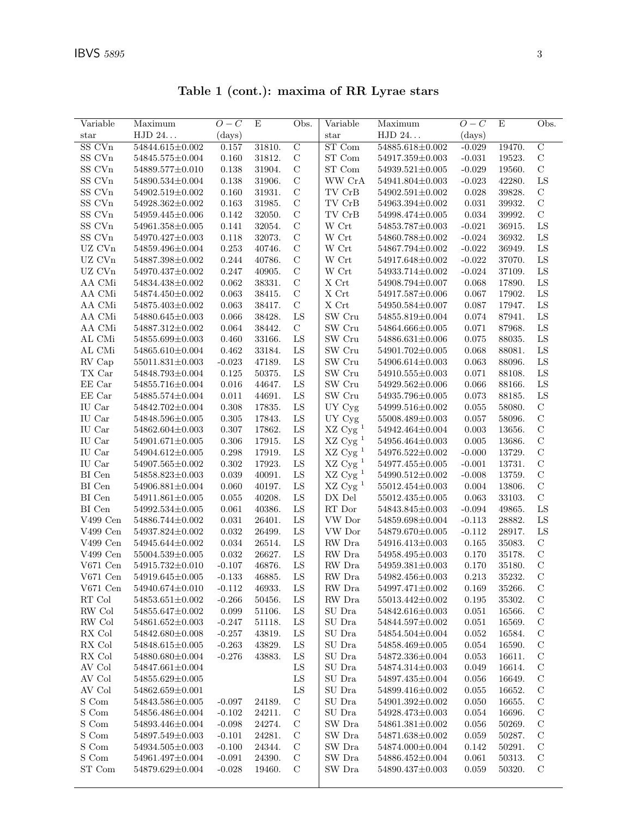| Variable                 | Maximum               | $O-C$    | E      | Obs.           | Variable                              | Maximum               | $O-C$        | E      | Obs.           |
|--------------------------|-----------------------|----------|--------|----------------|---------------------------------------|-----------------------|--------------|--------|----------------|
| $_{\rm star}$            | HJD 24                | (days)   |        |                | star                                  | HJD 24                | $\rm (days)$ |        |                |
| SS CVn                   | 54844.615±0.002       | 0.157    | 31810. | $\overline{C}$ | ST Com                                | 54885.618±0.002       | $-0.029$     | 19470. | $\overline{C}$ |
| SS CVn                   | 54845.575±0.004       | 0.160    | 31812. | $\mathcal{C}$  | ST Com                                | 54917.359±0.003       | $-0.031$     | 19523. | $\mathbf C$    |
| SS CVn                   | 54889.577±0.010       | 0.138    | 31904. | $\mathcal{C}$  | ST Com                                | $54939.521 \pm 0.005$ | $-0.029$     | 19560. | $\mathbf C$    |
| SS CVn                   | $54890.534 \pm 0.004$ | 0.138    | 31906. | $\mathcal{C}$  | WW CrA                                | 54941.804±0.003       | $-0.023$     | 42280. | LS             |
| SS CVn                   | 54902.519±0.002       | 0.160    | 31931. | $\mathcal{C}$  | TV CrB                                | $54902.591 \pm 0.002$ | 0.028        | 39828. | $\mathbf C$    |
| SS CVn                   | 54928.362±0.002       | 0.163    | 31985. | $\mathcal{C}$  | TV CrB                                | 54963.394±0.002       | 0.031        | 39932. | $\mathbf C$    |
| SS CVn                   | 54959.445±0.006       | 0.142    | 32050. | $\mathcal{C}$  | TV CrB                                | 54998.474±0.005       | 0.034        | 39992. | $\mathbf C$    |
| SS CVn                   | 54961.358±0.005       | 0.141    | 32054. | $\mathcal{C}$  | W Crt                                 | 54853.787±0.003       | $-0.021$     | 36915. | ${\rm LS}$     |
| SS CVn                   | 54970.427±0.003       | 0.118    | 32073. | $\mathcal{C}$  | W Crt                                 | 54860.788±0.002       | $-0.024$     | 36932. | $_{\rm LS}$    |
| UZ CVn                   | 54859.496±0.004       | 0.253    | 40746. | $\mathbf C$    | W Crt                                 | 54867.794±0.002       | $-0.022$     | 36949. | ${\rm LS}$     |
| UZ CVn                   | 54887.398±0.002       | 0.244    | 40786. | $\mathcal{C}$  | W Crt                                 | 54917.648±0.002       | $-0.022$     | 37070. | ${\rm LS}$     |
| $UZ$ $\hbox{C} {\rm Vn}$ | 54970.437±0.002       | 0.247    | 40905. | $\mathcal{C}$  | $\ensuremath{\text{W}}$ Crt           | 54933.714±0.002       | $-0.024$     | 37109. | ${\rm LS}$     |
| AA CMi                   | 54834.438±0.002       | 0.062    | 38331. | $\mathbf C$    | $\mathbf X$ Crt                       | 54908.794±0.007       | 0.068        | 17890. | ${\rm LS}$     |
| AA CMi                   | 54874.450±0.002       | 0.063    | 38415. | $\mathbf C$    | X Crt                                 | 54917.587±0.006       | 0.067        | 17902. | LS             |
| AA CMi                   | 54875.403±0.002       | 0.063    | 38417. | $\mathbf C$    | X Crt                                 | 54950.584±0.007       | 0.087        | 17947. | LS             |
| AA CMi                   | 54880.645±0.003       | 0.066    | 38428. | ${\rm LS}$     | SW Cru                                | 54855.819±0.004       | 0.074        | 87941. | ${\rm LS}$     |
| AA CMi                   | 54887.312±0.002       | 0.064    | 38442. | $\mathbf C$    | $\ensuremath{\mathsf{SW}}\xspace$ Cru | 54864.666±0.005       | 0.071        | 87968. | ${\rm LS}$     |
| AL CMi                   | 54855.699±0.003       | 0.460    | 33166. | LS             | SW Cru                                | 54886.631±0.006       | 0.075        | 88035. | ${\rm LS}$     |
| AL CMi                   | 54865.610±0.004       | 0.462    | 33184. | ${\rm LS}$     | SW Cru                                | 54901.702±0.005       | 0.068        | 88081. | ${\rm LS}$     |
| RV Cap                   | $55011.831 \pm 0.003$ | $-0.023$ | 47189. | LS             | SW Cru                                | 54906.614±0.003       | 0.063        | 88096. | ${\rm LS}$     |
| TX Car                   | 54848.793±0.004       | 0.125    | 50375. | LS             | SW Cru                                | 54910.555±0.003       | 0.071        | 88108. | ${\rm LS}$     |
| EE Car                   | 54855.716±0.004       | 0.016    | 44647. | LS             | SW Cru                                | 54929.562±0.006       | 0.066        | 88166. | ${\rm LS}$     |
| EE Car                   | 54885.574±0.004       | 0.011    | 44691. | LS             | SW Cru                                | 54935.796±0.005       | 0.073        | 88185. | ${\rm LS}$     |
| IU Car                   | 54842.702±0.004       | 0.308    | 17835. | LS             | UY Cyg                                | 54999.516±0.002       | 0.055        | 58080. | $\mathbf C$    |
| IU Car                   | 54848.596±0.005       | 0.305    | 17843. | LS             | UY Cyg                                | 55008.489±0.003       | 0.057        | 58096. | $\mathbf C$    |
| IU Car                   | 54862.604±0.003       | 0.307    | 17862. | ${\rm LS}$     | $\rm XZ$ Cyg $^1$                     | 54942.464±0.004       | 0.003        | 13656. | $\mathcal{C}$  |
|                          | 54901.671±0.005       | 0.306    | 17915. | LS             | $XZ$ Cyg <sup>1</sup>                 | 54956.464±0.003       | 0.005        | 13686. | $\mathbf C$    |
| IU Car                   |                       |          |        | LS             |                                       |                       |              |        | $\mathbf C$    |
| IU Car                   | 54904.612±0.005       | 0.298    | 17919. |                | $XZ$ Cyg <sup>1</sup>                 | 54976.522±0.002       | $-0.000$     | 13729. |                |
| IU Car                   | 54907.565±0.002       | 0.302    | 17923. | ${\rm LS}$     | $\rm XZ$ Cy<br>g $^1$                 | 54977.455±0.005       | $-0.001$     | 13731. | $\mathbf C$    |
| BI Cen                   | 54858.823±0.003       | 0.039    | 40091. | LS             | $\rm XZ$ Cyg $^1$                     | 54990.512±0.002       | $-0.008$     | 13759. | $\mathbf C$    |
| BI Cen                   | $54906.881 \pm 0.004$ | 0.060    | 40197. | LS             | $XZ$ Cyg <sup>1</sup>                 | 55012.454±0.003       | 0.004        | 13806. | $\mathbf C$    |
| BI Cen                   | 54911.861±0.005       | 0.055    | 40208. | ${\rm LS}$     | DX Del                                | 55012.435±0.005       | 0.063        | 33103. | $\mathbf C$    |
| BI Cen                   | 54992.534±0.005       | 0.061    | 40386. | ${\rm LS}$     | RT Dor                                | 54843.845±0.003       | $-0.094$     | 49865. | LS             |
| V499 Cen                 | 54886.744±0.002       | 0.031    | 26401. | LS             | VW Dor                                | 54859.698±0.004       | $-0.113$     | 28882. | LS             |
| V499 Cen                 | 54937.824±0.002       | 0.032    | 26499. | LS             | VW Dor                                | 54879.670±0.005       | $-0.112$     | 28917. | ${\rm LS}$     |
| V499 Cen                 | 54945.644±0.002       | 0.034    | 26514. | LS             | RW Dra                                | 54916.413±0.003       | 0.165        | 35083. | $\mathbf C$    |
| $\rm V499$ Cen           | $55004.539{\pm}0.005$ | 0.032    | 26627. | LS             | RW Dra                                | 54958.495±0.003       | 0.170        | 35178. | $\mathbf C$    |
| $V671$ Cen               | 54915.732±0.010       | $-0.107$ | 46876. | ${\rm LS}$     | ${\rm RW}$ Dra                        | $54959.381 \pm 0.003$ | 0.170        | 35180. | $\mathcal{C}$  |
| $V671$ Cen               | $54919.645 \pm 0.005$ | $-0.133$ | 46885. | ${\rm LS}$     | ${\rm RW}$ Dra                        | $54982.456 \pm 0.003$ | 0.213        | 35232. | $\mathbf C$    |
| $V671$ Cen               | 54940.674±0.010       | $-0.112$ | 46933. | LS             | RW Dra                                | 54997.471±0.002       | 0.169        | 35266. | $\mathcal{C}$  |
| RT Col                   | 54853.651±0.002       | $-0.266$ | 50456. | LS             | RW Dra                                | 55013.442±0.002       | 0.195        | 35302. | $\mathbf C$    |
| RW Col                   | 54855.647±0.002       | 0.099    | 51106. | LS             | SU Dra                                | 54842.616±0.003       | 0.051        | 16566. | $\mathbf C$    |
| RW Col                   | 54861.652±0.003       | $-0.247$ | 51118. | LS             | SU Dra                                | 54844.597±0.002       | 0.051        | 16569. | $\mathcal{C}$  |
| ${\rm RX}$ Col $\,$      | 54842.680±0.008       | $-0.257$ | 43819. | LS             | SU Dra                                | 54854.504±0.004       | 0.052        | 16584. | $\mathcal{C}$  |
| RX Col                   | 54848.615±0.005       | $-0.263$ | 43829. | LS             | SU Dra                                | 54858.469±0.005       | 0.054        | 16590. | $\mathcal{C}$  |
| ${\rm RX}$ Col $\,$      | 54880.680±0.004       | $-0.276$ | 43883. | LS             | $\rm SU~Dra$                          | 54872.336±0.004       | 0.053        | 16611. | $\mathcal{C}$  |
| AV Col                   | $54847.661 \pm 0.004$ |          |        | ${\rm LS}$     | SU Dra                                | 54874.314±0.003       | 0.049        | 16614. | $\mathbf C$    |
|                          |                       |          |        |                |                                       |                       |              |        |                |

AV Col 54855.629±0.005 LS SU Dra 54897.435±0.004 0.056 16649. C AV Col  $54862.659 \pm 0.001$  LS SU Dra  $54899.416 \pm 0.002$   $0.055$   $16652$ . C  $\begin{array}{cccccccccc} \text{S Com} & & 54843.586\pm0.005 & -0.097 & 24189. & \text{C} & & \text{SU Dra} & & 54901.392\pm0.002 & 0.050 & 16655. & \text{C} \\ \text{S Com} & & 54856.486\pm0.004 & -0.102 & 24211. & \text{C} & & \text{SU Dra} & & 54928.473\pm0.003 & 0.054 & 16696. & \text{C} \end{array}$  $\begin{array}{cccccccccc} \text{S Com} & & 54856.486\pm0.004 & -0.102 & 24211. & \text{C} & & \text{SU Dra} & & 54928.473\pm0.003 & 0.054 & 16696. & \text{C} \\ \text{S Com} & & 54893.446\pm0.004 & -0.098 & 24274. & \text{C} & & \text{SW Dra} & & 54861.381\pm0.002 & 0.056 & 50269. & \text{C} \end{array}$  $\begin{array}{cccccccccc} \text{S Com} & & 54893.446 \pm 0.004 & -0.098 & 24274. & \text{C} & & \text{SW Dra} & & 54861.381 \pm 0.002 & 0.056 & 50269. & \text{C} \\ \text{S Com} & & 54897.549 \pm 0.003 & -0.101 & 24281. & \text{C} & & \text{SW Dra} & & 54871.638 \pm 0.002 & 0.059 & 50287. & \text{C} \end{array}$  $S \text{ Com}$   $54897.549 \pm 0.003$   $-0.101$   $24281$ . C  $\text{SW Dra}$   $54871.638 \pm 0.002$   $0.059$   $50287$ .  $S \text{ Com}$   $54934.505 \pm 0.003$   $-0.100$   $24344$ . C  $\text{SW Dra}$   $54874.000 \pm 0.004$   $0.142$   $50291$ . C  $S \text{ Com}$   $54961.497 \pm 0.004$   $-0.091$   $24390$ . C  $\text{SW Dra}$   $54886.452 \pm 0.004$  0.061 50313. C  $ST Com$   $54879.629 \pm 0.004$   $-0.028$   $19460$ . C  $\vert$  SW Dra  $54890.437 \pm 0.003$   $0.059$   $50320$ . C

Table 1 (cont.): maxima of RR Lyrae stars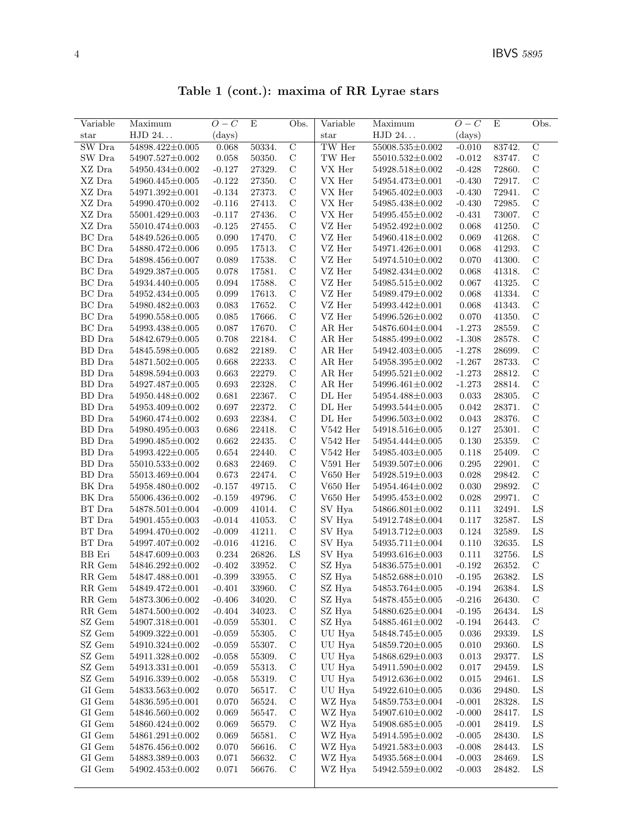Table 1 (cont.): maxima of RR Lyrae stars

| Variable                | Maximum               | $O-C$        | E      | Obs.           | Variable                | Maximum               | $O-C$        | E      | Obs.           |
|-------------------------|-----------------------|--------------|--------|----------------|-------------------------|-----------------------|--------------|--------|----------------|
| $_{\rm star}$           | HJD 24                | $\rm (days)$ |        |                | star                    | HJD 24                | $\rm (days)$ |        |                |
| SW Dra                  | 54898.422±0.005       | 0.068        | 50334. | $\overline{C}$ | TW Her                  | $55008.535 \pm 0.002$ | $-0.010$     | 83742. | $\overline{C}$ |
| SW Dra                  | 54907.527±0.002       | 0.058        | 50350. | $\mathbf C$    | $\operatorname{TW}$ Her | $55010.532{\pm}0.002$ | $-0.012$     | 83747. | $\mathbf C$    |
| XZ Dra                  | 54950.434±0.002       | $-0.127$     | 27329. | $\mathbf C$    | ${\rm VX}$ Her          | 54928.518±0.002       | $-0.428$     | 72860. | $\mathbf C$    |
| XZ Dra                  | 54960.445±0.005       | $-0.122$     | 27350. | $\mathbf C$    | VX Her                  | 54954.473±0.001       | $-0.430$     | 72917. | $\mathcal{C}$  |
| XZ Dra                  | 54971.392±0.001       | $-0.134$     | 27373. | $\mathcal{C}$  | VX Her                  | 54965.402±0.003       | $-0.430$     | 72941. | $\mathbf C$    |
| $\rm XZ$ Dra            | 54990.470±0.002       | $-0.116$     | 27413. | $\mathbf C$    | VX Her                  | 54985.438±0.002       | $-0.430$     | 72985. | $\mathbf C$    |
| XZ Dra                  | 55001.429±0.003       | $-0.117$     | 27436. | $\mathcal{C}$  | VX Her                  | 54995.455±0.002       | $-0.431$     | 73007. | $\mathcal{C}$  |
| XZ Dra                  | 55010.474±0.003       | $-0.125$     | 27455. | $\mathbf C$    | VZ Her                  | 54952.492±0.002       | 0.068        | 41250. | $\mathcal{C}$  |
| BC Dra                  | 54849.526±0.005       | 0.090        | 17470. | $\mathbf C$    | VZ Her                  | 54960.418±0.002       | 0.069        | 41268. | $\mathbf C$    |
| BC Dra                  | 54880.472±0.006       | 0.095        | 17513. | $\mathcal{C}$  | VZ Her                  | 54971.426±0.001       | 0.068        | 41293. | $\mathbf C$    |
| BC Dra                  | 54898.456±0.007       | 0.089        | 17538. | $\mathcal{C}$  | VZ Her                  | 54974.510±0.002       | 0.070        | 41300. | $\mathbf C$    |
| BC Dra                  | 54929.387±0.005       | 0.078        | 17581. | $\mathbf C$    | VZ Her                  | 54982.434±0.002       | 0.068        | 41318. | $\mathcal{C}$  |
| $BC$ Dra                | 54934.440±0.005       | 0.094        | 17588. | $\mathbf C$    | VZ Her                  | 54985.515±0.002       | 0.067        | 41325. | $\mathcal{C}$  |
| BC Dra                  | 54952.434±0.005       | 0.099        | 17613. | $\mathbf C$    | VZ Her                  | 54989.479±0.002       | 0.068        | 41334. | $\mathbf C$    |
| $BC$ Dra                | 54980.482±0.003       | 0.083        | 17652. | $\mathcal{C}$  | VZ Her                  | 54993.442±0.001       | 0.068        | 41343. | $\mathbf C$    |
| $BC$ Dra                | 54990.558±0.005       | 0.085        | 17666. | $\mathcal{C}$  | VZ Her                  | 54996.526±0.002       | 0.070        | 41350. | $\mathcal{C}$  |
| BC Dra                  | 54993.438±0.005       | 0.087        | 17670. | $\mathcal{C}$  | AR Her                  | 54876.604±0.004       | $-1.273$     | 28559. | $\mathbf C$    |
| <b>BD</b> Dra           | 54842.679±0.005       | 0.708        | 22184. | $\mathbf C$    | AR Her                  | 54885.499±0.002       | $-1.308$     | 28578. | $\mathbf C$    |
| BD Dra                  | 54845.598±0.005       | 0.682        | 22189. | $\mathbf C$    | AR Her                  | 54942.403±0.005       | $-1.278$     | 28699. | $\mathcal{C}$  |
| BD Dra                  | 54871.502±0.005       | 0.668        | 22233. | $\mathbf C$    | AR Her                  | $54958.395 \pm 0.002$ | $-1.267$     | 28733. | $\mathbf C$    |
| BD Dra                  | 54898.594±0.003       | 0.663        | 22279. | $\mathbf C$    | AR Her                  | $54995.521 \pm 0.002$ | $-1.273$     | 28812. | $\mathbf C$    |
| BD Dra                  | 54927.487±0.005       | 0.693        | 22328. | $\mathcal{C}$  | AR Her                  | 54996.461±0.002       | $-1.273$     | 28814. | $\mathbf C$    |
| BD Dra                  | 54950.448±0.002       | 0.681        | 22367. | $\mathcal{C}$  | DL Her                  | 54954.488±0.003       | 0.033        | 28305. | $\mathbf C$    |
| BD Dra                  | 54953.409±0.002       | 0.697        | 22372. | $\mathbf C$    | DL Her                  | 54993.544±0.005       | 0.042        | 28371. | $\mathcal{C}$  |
|                         |                       |              |        | $\mathbf C$    |                         |                       |              |        | $\mathcal{C}$  |
| BD Dra                  | 54960.474±0.002       | 0.693        | 22384. |                | DL Her                  | 54996.503±0.002       | 0.043        | 28376. |                |
| BD Dra                  | 54980.495±0.003       | 0.686        | 22418. | $\mathbf C$    | $V542$ Her              | 54918.516±0.005       | 0.127        | 25301. | $\mathbf C$    |
| BD Dra                  | 54990.485±0.002       | 0.662        | 22435. | $\mathbf C$    | $V542$ Her              | 54954.444±0.005       | 0.130        | 25359. | $\mathbf C$    |
| BD Dra                  | 54993.422±0.005       | 0.654        | 22440. | $\mathcal{C}$  | $V542$ Her              | 54985.403±0.005       | 0.118        | 25409. | $\mathbf C$    |
| BD Dra                  | $55010.533\pm0.002$   | 0.683        | 22469. | $\mathbf C$    | $V591$ Her              | 54939.507±0.006       | 0.295        | 22901. | $\mathbf C$    |
| BD Dra                  | 55013.469±0.004       | 0.673        | 22474. | $\mathcal{C}$  | $V650$ Her              | 54928.519±0.003       | 0.028        | 29842. | $\mathcal{C}$  |
| BK Dra                  | 54958.480±0.002       | $-0.157$     | 49715. | $\mathbf C$    | $V650$ Her              | 54954.464±0.002       | 0.030        | 29892. | $\mathbf C$    |
| BK Dra                  | 55006.436±0.002       | $-0.159$     | 49796. | $\mathbf C$    | $V650$ Her              | 54995.453±0.002       | 0.028        | 29971. | $\mathbf C$    |
| BT Dra                  | 54878.501±0.004       | $-0.009$     | 41014. | $\mathbf C$    | SV Hya                  | 54866.801±0.002       | 0.111        | 32491. | LS             |
| BT Dra                  | 54901.455±0.003       | $-0.014$     | 41053. | $\mathbf C$    | SV Hya                  | 54912.748±0.004       | 0.117        | 32587. | LS             |
| BT Dra                  | 54994.470±0.002       | $-0.009$     | 41211. | $\mathbf C$    | SV Hya                  | 54913.712±0.003       | 0.124        | 32589. | LS             |
| $\operatorname{BT}$ Dra | 54997.407±0.002       | $-0.016$     | 41216. | $\mathbf C$    | SV Hya                  | 54935.711±0.004       | 0.110        | 32635. | LS             |
| BB Eri                  | $54847.609{\pm}0.003$ | $0.234\,$    | 26826. | LS             | SV Hya                  | $54993.616 \pm 0.003$ | 0.111        | 32756. | LS             |
| RR Gem                  | 54846.292±0.002       | $-0.402$     | 33952. | $\mathbf C$    | SZ Hya                  | 54836.575±0.001       | $-0.192$     | 26352. | $\mathbf C$    |
| RR Gem                  | 54847.488±0.001       | $-0.399$     | 33955. | $\rm C$        | SZ Hya                  | $54852.688\pm0.010$   | $-0.195$     | 26382. | LS             |
| RR Gem                  | 54849.472±0.001       | $-0.401$     | 33960. | $\mathcal C$   | SZ Hya                  | 54853.764±0.005       | $-0.194$     | 26384. | LS             |
| RR Gem                  | 54873.306±0.002       | $-0.406$     | 34020. | $\mathcal{C}$  | SZ Hya                  | 54878.455±0.005       | $-0.216$     | 26430. | $\mathcal{C}$  |
| RR Gem                  | 54874.500 $\pm$ 0.002 | $-0.404$     | 34023. | $\mathbf C$    | SZ Hya                  | 54880.625±0.004       | $-0.195$     | 26434. | LS             |
| SZ Gem                  | 54907.318±0.001       | $-0.059$     | 55301. | $\mathbf C$    | SZ Hya                  | 54885.461±0.002       | $-0.194$     | 26443. | $\mathcal{C}$  |
| SZ Gem                  | 54909.322±0.001       | $-0.059$     | 55305. | $\mathcal{C}$  | UU Hya                  | 54848.745±0.005       | 0.036        | 29339. | LS             |
| SZ Gem                  | 54910.324±0.002       | $-0.059$     | 55307. | $\mathcal{C}$  | UU Hya                  | 54859.720±0.005       | 0.010        | 29360. | LS             |
| SZ Gem                  | 54911.328±0.002       | $-0.058$     | 55309. | $\mathcal{C}$  | UU Hya                  | $54868.629 \pm 0.003$ | 0.013        | 29377. | LS             |
| $\rm SZ$ $\rm Gem$      | 54913.331±0.001       | $-0.059$     | 55313. | $\mathcal{C}$  | UU Hya                  | 54911.590 $\pm$ 0.002 | 0.017        | 29459. | LS             |
| SZ Gem                  | $54916.339{\pm}0.002$ | $-0.058$     | 55319. | $\mathbf C$    | UU Hya                  | 54912.636±0.002       | 0.015        | 29461. | LS             |
| GI Gem                  | 54833.563±0.002       | 0.070        | 56517. | $\mathcal{C}$  | UU Hya                  | 54922.610±0.005       | 0.036        | 29480. | LS             |
| GI Gem                  | 54836.595±0.001       | 0.070        | 56524. | $\mathcal{C}$  | WZ Hya                  | 54859.753±0.004       | $-0.001$     | 28328. | LS             |
| GI Gem                  | 54846.560±0.002       | 0.069        | 56547. | C              | WZ Hya                  | 54907.610±0.002       | $-0.000$     | 28417. | LS             |
| $\rm GI$ $\rm Gen$      | 54860.424±0.002       | 0.069        | 56579. | $\mathcal{C}$  | WZ Hya                  | 54908.685±0.005       | $-0.001$     | 28419. | LS             |
| $\rm GI$ $\rm Gen$      | 54861.291±0.002       | 0.069        | 56581. | $\mathbf C$    | WZ Hya                  | 54914.595±0.002       | $-0.005$     | 28430. | $_{\rm LS}$    |
| GI Gem                  | 54876.456±0.002       | 0.070        | 56616. | $\mathcal{C}$  | WZ Hya                  | 54921.583±0.003       | $-0.008$     | 28443. | LS             |
| GI Gem                  | 54883.389±0.003       | 0.071        | 56632. | $\mathcal{C}$  | WZ Hya                  | 54935.568±0.004       | $-0.003$     | 28469. | $_{\rm LS}$    |
| GI Gem                  | 54902.453±0.002       | 0.071        | 56676. | $\mathbf C$    | WZ Hya                  | 54942.559±0.002       | $-0.003$     | 28482. | LS             |
|                         |                       |              |        |                |                         |                       |              |        |                |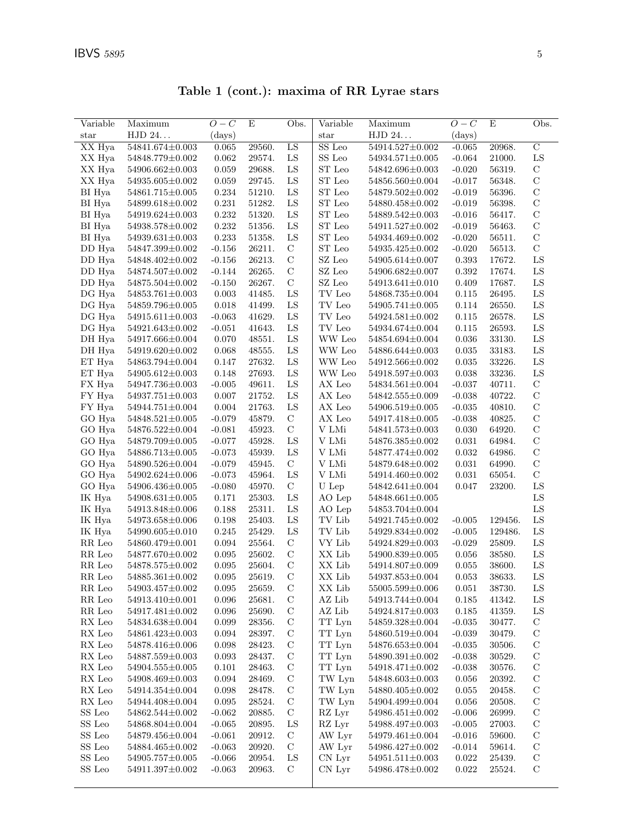| Variable       | Maximum               | $O-C$       | $\mathbf E$ | Obs.            | Variable                | Maximum               | $O-C$       | E       | Obs.           |
|----------------|-----------------------|-------------|-------------|-----------------|-------------------------|-----------------------|-------------|---------|----------------|
| star           | HJD 24                | (days)      |             |                 | $_{\rm star}$           | ${\rm HJD}$ $24.$     | (days)      |         |                |
| XX Hya         | $54841.674\pm0.003$   | 0.065       | 29560.      | $\overline{LS}$ | SS Leo                  | 54914.527±0.002       | $-0.065$    | 20968.  | $\overline{C}$ |
| XX Hya         | 54848.779±0.002       | 0.062       | 29574.      | LS              | SS Leo                  | $54934.571{\pm}0.005$ | $-0.064$    | 21000.  | LS             |
| XX Hya         | 54906.662±0.003       | 0.059       | 29688.      | ${\rm LS}$      | ST Leo                  | 54842.696±0.003       | $-0.020$    | 56319.  | $\mathbf C$    |
| XX Hya         | 54935.605±0.002       | 0.059       | 29745.      | ${\rm LS}$      | ST Leo                  | 54856.560±0.004       | $-0.017$    | 56348.  | $\mathbf C$    |
| BI Hya         | 54861.715±0.005       | 0.234       | 51210.      | ${\rm LS}$      | ST Leo                  | 54879.502±0.002       | $-0.019$    | 56396.  | $\mathbf C$    |
| $\rm BI$ Hya   | 54899.618±0.002       | 0.231       | 51282.      | ${\rm LS}$      | ST Leo                  | 54880.458±0.002       | $-0.019$    | 56398.  | $\mathbf C$    |
| BI Hya         | 54919.624±0.003       | 0.232       | 51320.      | ${\rm LS}$      | ${\rm ST}$ Leo          | 54889.542±0.003       | $-0.016$    | 56417.  | $\mathbf C$    |
| BI Hya         | 54938.578±0.002       | 0.232       | 51356.      | ${\rm LS}$      | ST Leo                  | 54911.527±0.002       | $-0.019$    | 56463.  | $\mathcal{C}$  |
| BI Hya         | 54939.631±0.003       | 0.233       | 51358.      | LS              | ${\rm ST}$ Leo          | $54934.469{\pm}0.002$ | $-0.020$    | 56511.  | $\mathbf C$    |
| DD Hya         | 54847.399±0.002       | $-0.156$    | 26211.      | $\mathbf C$     | ST Leo                  | 54935.425±0.002       | $-0.020$    | 56513.  | $\mathcal{C}$  |
| DD Hya         | 54848.402±0.002       | $-0.156$    | 26213.      | $\mathbf C$     | SZ Leo                  | 54905.614±0.007       | 0.393       | 17672.  | LS             |
| DD Hya         | 54874.507±0.002       | $-0.144$    | 26265.      | $\mathbf C$     | $\operatorname{SZ}$ Leo | 54906.682±0.007       | 0.392       | 17674.  | LS             |
| DD Hya         | 54875.504±0.002       | $-0.150$    | 26267.      | $\mathbf C$     | $\operatorname{SZ}$ Leo | 54913.641±0.010       | 0.409       | 17687.  | ${\rm LS}$     |
| DG Hya         | 54853.761±0.003       | 0.003       | 41485.      | ${\rm LS}$      | TV Leo                  | 54868.735±0.004       | 0.115       | 26495.  | ${\rm LS}$     |
| DG Hya         | 54859.796±0.005       | 0.018       | 41499.      | ${\rm LS}$      | $\operatorname{TV}$ Leo | 54905.741±0.005       | 0.114       | 26550.  | ${\rm LS}$     |
| DG Hya         | $54915.611\pm0.003$   | $-0.063$    | 41629.      | ${\rm LS}$      | TV Leo                  | 54924.581±0.002       | 0.115       | 26578.  | ${\rm LS}$     |
| DG Hya         | 54921.643±0.002       | $-0.051$    | 41643.      | ${\rm LS}$      | TV Leo                  | 54934.674±0.004       | 0.115       | 26593.  | ${\rm LS}$     |
| DH Hya         | 54917.666±0.004       | 0.070       | 48551.      | ${\rm LS}$      | WW Leo                  | 54854.694±0.004       | 0.036       | 33130.  | ${\rm LS}$     |
| DH Hya         | 54919.620±0.002       | 0.068       | 48555.      | ${\rm LS}$      | WW Leo                  | 54886.644±0.003       | 0.035       | 33183.  | LS             |
| ET Hya         | 54863.794±0.004       | 0.147       | 27632.      | ${\rm LS}$      | WW Leo                  | 54912.566±0.002       | 0.035       | 33226.  | LS             |
| ET Hya         | $54905.612 \pm 0.003$ | 0.148       | 27693.      | ${\rm LS}$      | WW Leo                  | 54918.597±0.003       | 0.038       | 33236.  | ${\rm LS}$     |
| FX Hya         | 54947.736±0.003       | $-0.005$    | 49611.      | ${\rm LS}$      | AX Leo                  | 54834.561±0.004       | $-0.037$    | 40711.  | $\mathbf C$    |
| FY Hya         | 54937.751 $\pm$ 0.003 | 0.007       | 21752.      | ${\rm LS}$      | ${\rm AX}$ Leo          | 54842.555±0.009       | $-0.038$    | 40722.  | $\mathbf C$    |
| FY Hya         | 54944.751±0.004       | 0.004       | 21763.      | ${\rm LS}$      | ${\rm AX}$ Leo          | 54906.519±0.005       | $-0.035$    | 40810.  | $\mathcal{C}$  |
| GO Hya         | 54848.521±0.005       | $-0.079$    | 45879.      | $\mathbf C$     | $AX$ Leo                | 54917.418±0.005       | $-0.038$    | 40825.  | $\mathcal{C}$  |
| GO Hya         | 54876.522±0.004       | $-0.081$    | 45923.      | $\mathbf C$     | V LMi                   | 54841.573±0.003       | 0.030       | 64920.  | $\mathbf C$    |
| GO Hya         | 54879.709±0.005       | $-0.077$    | 45928.      | ${\rm LS}$      | V LMi                   | 54876.385±0.002       | 0.031       | 64984.  | $\mathbf C$    |
| GO Hya         | 54886.713±0.005       | $-0.073$    | 45939.      | ${\rm LS}$      | V LMi                   | 54877.474±0.002       | 0.032       | 64986.  | $\mathcal{C}$  |
| GO Hya         | 54890.526±0.004       | $-0.079$    | 45945.      | $\mathbf C$     | V LMi                   | 54879.648±0.002       | 0.031       | 64990.  | $\mathcal{C}$  |
| GO Hya         | 54902.624±0.006       | $-0.073$    | 45964.      | ${\rm LS}$      | V LMi                   | 54914.460±0.002       | 0.031       | 65054.  | $\mathbf C$    |
| GO Hya         | 54906.436±0.005       | $-0.080$    | 45970.      | $\mathbf C$     | U Lep                   | 54842.641±0.004       | 0.047       | 23200.  | LS             |
| IK Hya         | $54908.631 \pm 0.005$ | 0.171       | 25303.      | ${\rm LS}$      | AO Lep                  | $54848.661 \pm 0.005$ |             |         | ${\rm LS}$     |
| IK Hya         | 54913.848±0.006       | 0.188       | 25311.      | ${\rm LS}$      | AO Lep                  | 54853.704±0.004       |             |         | ${\rm LS}$     |
| IK Hya         | 54973.658±0.006       | 0.198       | 25403.      | ${\rm LS}$      | $\operatorname{TV}$ Lib | 54921.745±0.002       | $-0.005$    | 129456. | LS             |
| IK Hya         | 54990.605±0.010       | 0.245       | 25429.      | ${\rm LS}$      | $\operatorname{TV}$ Lib | 54929.834±0.002       | $-0.005$    | 129486. | LS             |
| RR Leo         | 54860.479±0.001       | 0.094       | 25564.      | $\mathbf C$     | VY Lib                  | 54924.829±0.003       | $-0.029$    | 25809.  | LS             |
| RR Leo         | 54877.670±0.002       | 0.095       | 25602.      | $\mathbf C$     | ${\it XX}$ Lib          | 54900.839±0.005       | 0.056       | 38580.  | LS             |
| RR Leo         | 54878.575±0.002       | 0.095       | 25604.      | $\mathbf C$     | XX Lib                  | 54914.807±0.009       | 0.055       | 38600.  | LS             |
| RR Leo         | 54885.361±0.002       | 0.095       | 25619.      | $\mathcal{C}$   | XX Lib                  | 54937.853±0.004       | 0.053       | 38633.  | ${\rm LS}$     |
| $RR$ Leo       | 54903.457±0.002       | 0.095       | 25659.      | $\mathbf C$     | XX Lib                  | $55005.599{\pm}0.006$ | 0.051       | 38730.  | LS             |
| RR Leo         | 54913.410±0.001       | 0.096       | 25681.      | $\mathbf C$     | AZ Lib                  | 54913.744±0.004       | 0.185       | 41342.  | LS             |
| RR Leo         | 54917.481±0.002       | 0.096       | 25690.      | $\mathbf C$     | AZ Lib                  | 54924.817±0.003       | 0.185       | 41359.  | LS             |
| RX Leo         | 54834.638±0.004       | 0.099       | 28356.      | $\mathbf C$     | TT Lyn                  | 54859.328±0.004       | $-0.035$    | 30477.  | $\mathbf C$    |
| ${\rm RX}$ Leo | 54861.423±0.003       | 0.094       | 28397.      | $\mathbf C$     | TT Lyn                  | 54860.519±0.004       | $-0.039$    | 30479.  | $\mathcal{C}$  |
| ${\rm RX}$ Leo | 54878.416±0.006       | 0.098       | 28423.      | $\mathbf C$     | TT Lyn                  | 54876.653±0.004       | $-0.035$    | 30506.  | $\mathbf C$    |
| ${\rm RX}$ Leo | 54887.559±0.003       | 0.093       | 28437.      | $\mathbf C$     | TT Lyn                  | 54890.391±0.002       | $-0.038$    | 30529.  | $\mathbf C$    |
| RX Leo         | 54904.555±0.005       | 0.101       | 28463.      | $\mathbf C$     | TT Lyn                  | 54918.471±0.002       | $-0.038$    | 30576.  | $\mathcal{C}$  |
| RX Leo         | 54908.469±0.003       | 0.094       | 28469.      | $\mathbf C$     | TW Lyn                  | 54848.603±0.003       | 0.056       | 20392.  | $\mathbf C$    |
| RX Leo         | $54914.354\pm0.004$   | 0.098       | 28478.      | $\mathbf C$     | TW Lyn                  | 54880.405±0.002       | 0.055       | 20458.  | $\mathcal C$   |
| ${\rm RX}$ Leo | 54944.408±0.004       | $\,0.095\,$ | 28524.      | $\mathbf C$     | TW Lyn                  | 54904.499±0.004       | 0.056       | 20508.  | $\mathcal{C}$  |
| ${\rm SS}$ Leo | 54862.544±0.002       | $-0.062$    | 20885.      | $\mathbf C$     | RZ Lyr                  | 54986.451±0.002       | $-0.006$    | 26999.  | $\mathbf C$    |
| SS Leo         | 54868.804±0.004       | $-0.065$    | 20895.      | ${\rm LS}$      | RZ Lyr                  | 54988.497±0.003       | $-0.005$    | 27003.  | $\mathbf C$    |
| SS Leo         | 54879.456±0.004       | $-0.061$    | 20912.      | $\mathcal{C}$   | AW Lyr                  | 54979.461±0.004       | $-0.016$    | 59600.  | $\mathcal{C}$  |
| ${\rm SS}$ Leo | 54884.465±0.002       | $-0.063$    | 20920.      | $\mathbf C$     | AW Lyr                  | 54986.427±0.002       | $-0.014$    | 59614.  | $\mathbf C$    |
| ${\rm SS}$ Leo | 54905.757±0.005       | $-0.066$    | 20954.      | ${\rm LS}$      | CN Lyr                  | 54951.511±0.003       | 0.022       | 25439.  | $\mathcal{C}$  |
| SS Leo         | $54911.397{\pm}0.002$ | $-0.063$    | 20963.      | $\mathcal{C}$   | CN Lyr                  | $54986.478 \pm 0.002$ | $\,0.022\,$ | 25524.  | $\mathbf C$    |
|                |                       |             |             |                 |                         |                       |             |         |                |

Table 1 (cont.): maxima of RR Lyrae stars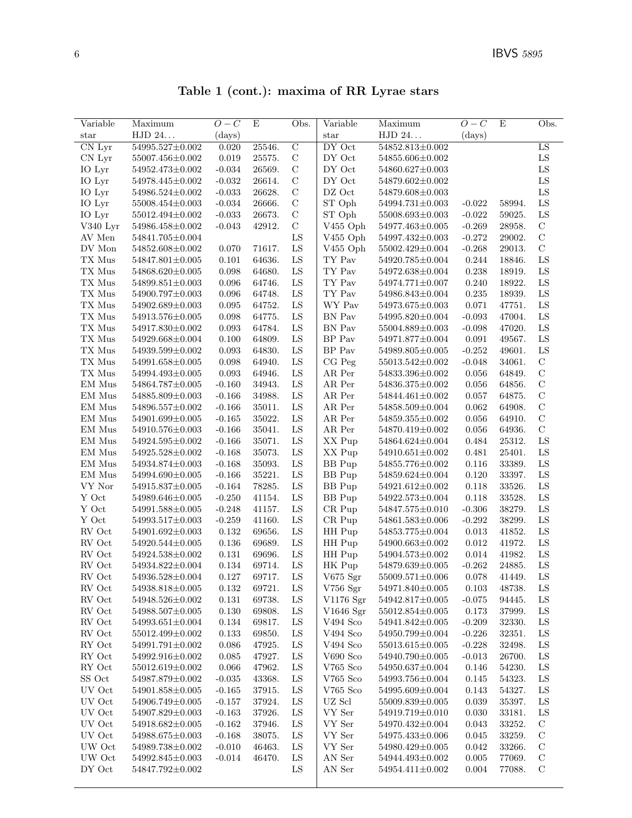Table 1 (cont.): maxima of RR Lyrae stars

| Variable                     | Maximum               | $O-C$     | Ε      | Obs.           | Variable                     | Maximum               | $O-C$        | E      | Obs.          |
|------------------------------|-----------------------|-----------|--------|----------------|------------------------------|-----------------------|--------------|--------|---------------|
| star                         | HJD 24                | (days)    |        |                | star                         | HJD 24                | $\rm (days)$ |        |               |
| $\overline{\text{CN Lyr}}$   | 54995.527±0.002       | 0.020     | 25546. | $\overline{C}$ | DY Oct                       | 54852.813±0.002       |              |        | LS            |
| CN Lyr                       | 55007.456±0.002       | 0.019     | 25575. | $\mathcal{C}$  | DY Oct                       | 54855.606±0.002       |              |        | ${\rm LS}$    |
| IO Lyr                       | 54952.473±0.002       | $-0.034$  | 26569. | $\mathcal C$   | DY Oct                       | 54860.627±0.003       |              |        | ${\rm LS}$    |
| IO Lyr                       | 54978.445±0.002       | $-0.032$  | 26614. | $\mathcal{C}$  | DY Oct                       | 54879.602±0.002       |              |        | ${\rm LS}$    |
| IO Lyr                       | 54986.524±0.002       | $-0.033$  | 26628. | $\mathcal{C}$  | DZ Oct                       | 54879.608±0.003       |              |        | LS            |
| IO Lyr                       | 55008.454±0.003       | $-0.034$  | 26666. | $\mathcal{C}$  | ST Oph                       | 54994.731±0.003       | $-0.022$     | 58994. | ${\rm LS}$    |
| IO Lyr                       | 55012.494±0.002       | $-0.033$  | 26673. | $\mathcal{C}$  | ST Oph                       | 55008.693±0.003       | $-0.022$     | 59025. | LS            |
| V340 Lyr                     | 54986.458±0.002       | $-0.043$  | 42912. | $\mathbf C$    | $V455$ Oph                   | 54977.463±0.005       | $-0.269$     | 28958. | $\mathbf C$   |
| AV Men                       | 54841.705±0.004       |           |        | ${\rm LS}$     | V455 Oph                     | 54997.432±0.003       | $-0.272$     | 29002. | $\mathbf C$   |
| DV Mon                       | 54852.608±0.002       | 0.070     | 71617. | ${\rm LS}$     | V455 Oph                     | 55002.429±0.004       | $-0.268$     | 29013. | $\mathcal{C}$ |
| ${\rm TX}$ Mus               | 54847.801±0.005       | 0.101     | 64636. | ${\rm LS}$     | TY Pav                       | 54920.785±0.004       | 0.244        | 18846. | LS            |
| ${\rm TX}$ Mus               | 54868.620±0.005       | 0.098     | 64680. | ${\rm LS}$     | TY Pav                       | 54972.638±0.004       | 0.238        | 18919. | ${\rm LS}$    |
| TX Mus                       | 54899.851±0.003       | 0.096     | 64746. | LS             | TY Pav                       | 54974.771±0.007       | 0.240        | 18922. | ${\rm LS}$    |
| TX Mus                       | 54900.797±0.003       | 0.096     | 64748. | ${\rm LS}$     | $\mathcal{T}\mathcal{Y}$ Pav | 54986.843±0.004       | 0.235        | 18939. | ${\rm LS}$    |
| TX Mus                       | 54902.689±0.003       | 0.095     | 64752. | LS             | WY Pav                       | 54973.675±0.003       | 0.071        | 47751. | ${\rm LS}$    |
| TX Mus                       | 54913.576±0.005       | 0.098     | 64775. | ${\rm LS}$     | BN Pav                       | 54995.820±0.004       | $-0.093$     | 47004. | ${\rm LS}$    |
| $\mathcal{T}\mathcal{X}$ Mus | 54917.830±0.002       | 0.093     | 64784. | LS             | BN Pav                       | 55004.889±0.003       | $-0.098$     | 47020. | ${\rm LS}$    |
| TX Mus                       | 54929.668±0.004       | 0.100     | 64809. | ${\rm LS}$     | $\rm BP~Pav$                 | 54971.877±0.004       | 0.091        | 49567. | ${\rm LS}$    |
| TX Mus                       | 54939.599±0.002       | 0.093     | 64830. | ${\rm LS}$     | BP Pav                       | 54989.805±0.005       | $-0.252$     | 49601. | ${\rm LS}$    |
| TX Mus                       | 54991.658±0.005       | 0.098     | 64940. | LS             | CG Peg                       | 55013.542±0.002       | $-0.048$     | 34061. | $\mathbf C$   |
| TX Mus                       | 54994.493±0.005       | 0.093     | 64946. | ${\rm LS}$     | AR Per                       | 54833.396±0.002       | 0.056        | 64849. | $\mathbf C$   |
| EM Mus                       | 54864.787±0.005       | $-0.160$  | 34943. | LS             | AR Per                       | 54836.375±0.002       | 0.056        | 64856. | $\mathbf C$   |
| EM Mus                       | 54885.809±0.003       | $-0.166$  | 34988. | LS             | AR Per                       | 54844.461±0.002       | 0.057        | 64875. | $\mathcal{C}$ |
| $\rm EM~Mus$                 | 54896.557±0.002       | $-0.166$  | 35011. | ${\rm LS}$     | AR Per                       | 54858.509±0.004       | 0.062        | 64908. | $\mathbf C$   |
| EM Mus                       | 54901.699±0.005       | $-0.165$  | 35022. | ${\rm LS}$     | ${\rm AR\,~Per}$             | 54859.355±0.002       | 0.056        | 64910. | $\mathbf C$   |
| EM Mus                       | 54910.576±0.003       | $-0.166$  | 35041. | ${\rm LS}$     | AR Per                       | 54870.419±0.002       | 0.056        | 64936. | $\mathbf C$   |
| EM Mus                       | 54924.595±0.002       | $-0.166$  | 35071. | LS             | XX Pup                       | 54864.624±0.004       | 0.484        | 25312. | LS            |
| EM Mus                       | 54925.528±0.002       | $-0.168$  | 35073. | LS             | XX Pup                       | $54910.651 \pm 0.002$ | 0.481        | 25401. | LS            |
| $\rm EM~Mus$                 | 54934.874±0.003       | $-0.168$  | 35093. | ${\rm LS}$     | <b>BB</b> Pup                | 54855.776±0.002       | 0.116        | 33389. | ${\rm LS}$    |
| $\rm EM~Mus$                 | 54994.690±0.005       | $-0.166$  | 35221. | ${\rm LS}$     | <b>BB</b> Pup                | 54859.624±0.004       | 0.120        | 33397. | ${\rm LS}$    |
| VY Nor                       | 54915.837±0.005       | $-0.164$  | 78285. | ${\rm LS}$     | <b>BB</b> Pup                | 54921.612±0.002       | 0.118        | 33526. | ${\rm LS}$    |
| Y Oct                        | 54989.646±0.005       | $-0.250$  | 41154. | LS             | BB Pup                       | 54922.573±0.004       | 0.118        | 33528. | ${\rm LS}$    |
| Y Oct                        | 54991.588±0.005       | $-0.248$  | 41157. | ${\rm LS}$     | CR Pup                       | 54847.575±0.010       | $-0.306$     | 38279. | ${\rm LS}$    |
| Y Oct                        | 54993.517±0.003       | $-0.259$  | 41160. | LS             | CR Pup                       | 54861.583±0.006       | $-0.292$     | 38299. | LS            |
| RV Oct                       | 54901.692±0.003       | 0.132     | 69656. | ${\rm LS}$     | HH Pup                       | 54853.775±0.004       | 0.013        | 41852. | ${\rm LS}$    |
| ${\rm RV}$ Oct               | 54920.544±0.005       | 0.136     | 69689. | LS             | HH Pup                       | 54900.663±0.002       | 0.012        | 41972. | ${\rm LS}$    |
| RV Oct                       | 54924.538±0.002       | 0.131     | 69696. | LS             | HH Pup                       | 54904.573±0.002       | 0.014        | 41982. | ${\rm LS}$    |
| RV Oct                       | 54934.822±0.004       | 0.134     | 69714. | ${\rm LS}$     | HK Pup                       | 54879.639±0.005       | $-0.262$     | 24885. | LS            |
| RV Oct                       | 54936.528±0.004       | $0.127\,$ | 69717. | LS             | V675 $\mathrm{Sgr}$          | $55009.571 \pm 0.006$ | $0.078\,$    | 41449. | LS            |
| RV Oct                       | 54938.818±0.005       | 0.132     | 69721. | LS             | $V756$ Sgr                   | 54971.840±0.005       | 0.103        | 48738. | LS            |
| RV Oct                       | 54948.526±0.002       | 0.131     | 69738. | LS             | V1176 Sgr                    | 54942.817±0.005       | $-0.075$     | 94445. | LS            |
| ${\rm RV}$ Oct               | 54988.507±0.005       | 0.130     | 69808. | LS             | V1646 Sgr                    | 55012.854±0.005       | 0.173        | 37999. | LS            |
| RV Oct                       | $54993.651 \pm 0.004$ | 0.134     | 69817. | LS             | V494 Sco                     | 54941.842±0.005       | $-0.209$     | 32330. | ${\rm LS}$    |
| RV Oct                       | 55012.499±0.002       | 0.133     | 69850. | LS             | $V494$ Sco                   | 54950.799±0.004       | $-0.226$     | 32351. | LS            |
| RY Oct                       | 54991.791±0.002       | 0.086     | 47925. | LS             | $V494$ Sco                   | 55013.615±0.005       | $-0.228$     | 32498. | LS            |
| RY Oct                       | $54992.916{\pm}0.002$ | 0.085     | 47927. | LS             | $V690$ Sco                   | 54940.790±0.005       | $-0.013$     | 26700. | LS            |
| RY Oct                       | 55012.619±0.002       | 0.066     | 47962. | LS             | $V765$ Sco                   | 54950.637±0.004       | 0.146        | 54230. | LS            |
| ${\rm SS}$ Oct               | 54987.879±0.002       | $-0.035$  | 43368. | LS             | $\rm V765$ Sco               | 54993.756±0.004       | 0.145        | 54323. | LS            |
| UV Oct                       | 54901.858±0.005       | $-0.165$  | 37915. | LS             | $V765$ Sco                   | 54995.609±0.004       | 0.143        | 54327. | LS            |
| UV Oct                       | 54906.749±0.005       | $-0.157$  | 37924. | LS             | UZ Scl                       | 55009.839±0.005       | 0.039        | 35397. | LS            |
| UV Oct                       | 54907.829±0.003       | $-0.163$  | 37926. | LS             | VY Ser                       | 54919.719±0.010       | 0.030        | 33181. | LS            |
| UV Oct                       | 54918.682±0.005       | $-0.162$  | 37946. | LS             | VY Ser                       | 54970.432±0.004       | 0.043        | 33252. | C             |
| UV Oct                       | 54988.675±0.003       | $-0.168$  | 38075. | LS             | VY Ser                       | 54975.433±0.006       | 0.045        | 33259. | $\mathbf C$   |
| UW Oct                       | 54989.738±0.002       | $-0.010$  | 46463. | LS             | VY Ser                       | 54980.429±0.005       | 0.042        | 33266. | $\mathbf C$   |
| UW Oct                       | 54992.845±0.003       | $-0.014$  | 46470. | LS             | AN Ser                       | 54944.493±0.002       | 0.005        | 77069. | C             |
| DY Oct                       |                       |           |        | ${\rm LS}$     | AN Ser                       |                       | 0.004        |        | C             |
|                              | 54847.792±0.002       |           |        |                |                              | 54954.411±0.002       |              | 77088. |               |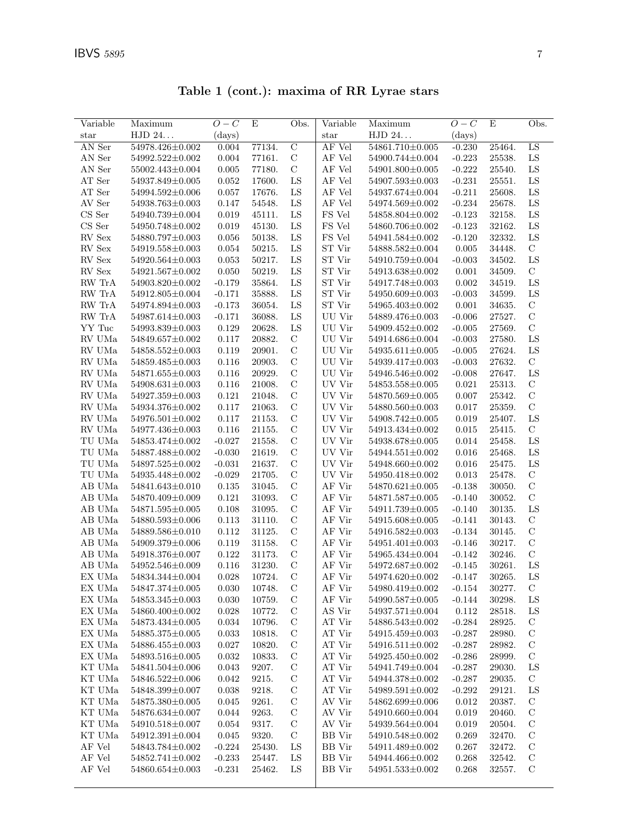Table 1 (cont.): maxima of RR Lyrae stars

| Variable                       | Maximum               | $O-C$     | E      | Obs.           | Variable                | Maximum         | $O-C$    | E      | Obs.          |
|--------------------------------|-----------------------|-----------|--------|----------------|-------------------------|-----------------|----------|--------|---------------|
| star                           | HJD 24                | (days)    |        |                | $_{\rm star}$           | HJD 24          | (days)   |        |               |
| AN Ser                         | 54978.426±0.002       | 0.004     | 77134. | $\overline{C}$ | AF Vel                  | 54861.710±0.005 | $-0.230$ | 25464. | LS            |
| AN Ser                         | $54992.522 \pm 0.002$ | 0.004     | 77161. | $\mathbf C$    | AF Vel                  | 54900.744±0.004 | $-0.223$ | 25538. | ${\rm LS}$    |
| AN Ser                         | $55002.443 \pm 0.004$ | 0.005     | 77180. | $\mathbf C$    | AF Vel                  | 54901.800±0.005 | $-0.222$ | 25540. | LS            |
| $\operatorname{AT}$ Ser        | 54937.849±0.005       | 0.052     | 17600. | LS             | AF Vel                  | 54907.593±0.003 | $-0.231$ | 25551. | ${\rm LS}$    |
| AT Ser                         | 54994.592±0.006       | 0.057     | 17676. | LS             | $\rm AF$ Vel            | 54937.674±0.004 | $-0.211$ | 25608. | LS            |
| AV Ser                         | 54938.763±0.003       | 0.147     | 54548. | LS             | AF Vel                  | 54974.569±0.002 | $-0.234$ | 25678. | LS            |
| $\mathop{\rm CS}$ Ser          | 54940.739±0.004       | 0.019     | 45111. | LS             | FS Vel                  | 54858.804±0.002 | $-0.123$ | 32158. | LS            |
| $\mathop{\rm CS}$ Ser          | 54950.748±0.002       | 0.019     | 45130. | LS             | FS Vel                  | 54860.706±0.002 | $-0.123$ | 32162. | ${\rm LS}$    |
| RV Sex                         | 54880.797±0.003       | 0.056     | 50138. | LS             | FS Vel                  | 54941.584±0.002 | $-0.120$ | 32332. | LS            |
| RV Sex                         | 54919.558±0.003       | 0.054     | 50215. | LS             | ST Vir                  | 54888.582±0.004 | 0.005    | 34448. | $\mathcal{C}$ |
| RV Sex                         | 54920.564±0.003       | 0.053     | 50217. | LS             | ST Vir                  | 54910.759±0.004 | $-0.003$ | 34502. | LS            |
| RV Sex                         | $54921.567 \pm 0.002$ | 0.050     | 50219. | LS             | ST Vir                  | 54913.638±0.002 | 0.001    | 34509. | $\mathcal{C}$ |
| RW TrA                         | $54903.820 \pm 0.002$ | $-0.179$  | 35864. | LS             | ${\rm ST}$ Vir          | 54917.748±0.003 | 0.002    | 34519. | LS            |
| ${\rm RW}\ {\rm Tr}{\rm A}$    | $54912.805 \pm 0.004$ | $-0.171$  | 35888. | LS             | ST Vir                  | 54950.609±0.003 | $-0.003$ | 34599. | LS            |
| RW TrA                         | 54974.894±0.003       | $-0.173$  | 36054. | LS             | ST Vir                  | 54965.403±0.002 | 0.001    | 34635. | $\mathcal{C}$ |
| RW TrA                         | 54987.614±0.003       | $-0.171$  | 36088. | LS             | UU Vir                  | 54889.476±0.003 | $-0.006$ | 27527. | $\mathbf C$   |
| YY Tuc                         | 54993.839±0.003       | 0.129     | 20628. | LS             | UU Vir                  | 54909.452±0.002 | $-0.005$ | 27569. | $\mathbf C$   |
| ${\rm RV}$ UMa                 | 54849.657±0.002       | 0.117     | 20882. | $\mathcal{C}$  | UU Vir                  | 54914.686±0.004 | $-0.003$ | 27580. | LS            |
| RV UMa                         | 54858.552±0.003       | 0.119     | 20901. | $\mathbf C$    | UU Vir                  | 54935.611±0.005 | $-0.005$ | 27624. | LS            |
| RV UMa                         | 54859.485±0.003       | 0.116     | 20903. | $\mathbf C$    | UU Vir                  | 54939.417±0.003 | $-0.003$ | 27632. | $\mathbf C$   |
| RV UMa                         | 54871.655±0.003       | 0.116     | 20929. | $\mathcal{C}$  | UU Vir                  | 54946.546±0.002 | $-0.008$ | 27647. | LS            |
| RV UMa                         | $54908.631 \pm 0.003$ | 0.116     | 21008. | $\mathbf C$    | UV Vir                  | 54853.558±0.005 | 0.021    | 25313. | $\mathcal{C}$ |
| ${\rm RV}$ UMa                 | 54927.359±0.003       | 0.121     | 21048. | $\mathcal{C}$  | UV Vir                  | 54870.569±0.005 | 0.007    | 25342. | $\mathbf C$   |
| RV UMa                         | 54934.376±0.002       | 0.117     | 21063. | $\mathcal{C}$  | UV Vir                  | 54880.560±0.003 | 0.017    | 25359. | $\mathcal{C}$ |
| ${\rm RV}$ UMa                 | $54976.501 \pm 0.002$ | 0.117     | 21153. | $\mathcal{C}$  | UV Vir                  | 54908.742±0.005 | 0.019    | 25407. | LS            |
| RV UMa                         | 54977.436±0.003       | 0.116     | 21155. | $\mathbf C$    | UV Vir                  | 54913.434±0.002 | 0.015    | 25415. | $\mathbf C$   |
| TU UMa                         | 54853.474±0.002       | $-0.027$  | 21558. | $\mathbf C$    | $\rm UV$ $\rm Vir$      | 54938.678±0.005 | 0.014    | 25458. | ${\rm LS}$    |
| TU UMa                         | 54887.488±0.002       | $-0.030$  | 21619. | $\mathbf C$    | UV Vir                  | 54944.551±0.002 | 0.016    | 25468. | LS            |
| TU UMa                         | $54897.525 \pm 0.002$ | $-0.031$  | 21637. | $\mathbf C$    | UV Vir                  | 54948.660±0.002 | 0.016    | 25475. | LS            |
| TU UMa                         | 54935.448±0.002       | $-0.029$  | 21705. | $\mathbf C$    | UV Vir                  | 54950.418±0.002 | 0.013    | 25478. | $\mathbf C$   |
| AB UMa                         | 54841.643±0.010       | 0.135     | 31045. | $\mathbf C$    | AF Vir                  | 54870.621±0.005 | $-0.138$ | 30050. | $\mathbf C$   |
| AB UMa                         | 54870.409±0.009       | 0.121     | 31093. | $\mathcal{C}$  | AF Vir                  | 54871.587±0.005 | $-0.140$ | 30052. | $\mathbf C$   |
| AB UMa                         | 54871.595±0.005       | 0.108     | 31095. | $\mathcal{C}$  | AF Vir                  | 54911.739±0.005 | $-0.140$ | 30135. | LS            |
| AB UMa                         | 54880.593±0.006       | 0.113     | 31110. | $\mathcal{C}$  | AF Vir                  | 54915.608±0.005 | $-0.141$ | 30143. | $\mathcal{C}$ |
| AB UMa                         | 54889.586±0.010       | 0.112     | 31125. | $\mathcal{C}$  | AF Vir                  | 54916.582±0.003 | $-0.134$ | 30145. | $\mathbf C$   |
| AB UMa                         | 54909.379±0.006       | 0.119     | 31158. | $\mathbf C$    | $\rm AF~Vir$            | 54951.401±0.003 | $-0.146$ | 30217. | $\mathbf C$   |
| AB UMa                         | 54918.376±0.007       | 0.122     | 31173. | $\mathbf C$    | AF Vir                  | 54965.434±0.004 | $-0.142$ | 30246. | $\mathcal{C}$ |
| AB UMa                         | 54952.546±0.009       | 0.116     | 31230. | $\mathbf C$    | AF Vir                  | 54972.687±0.002 | $-0.145$ | 30261. | LS            |
| EX UMa                         | 54834.344±0.004       | 0.028     | 10724. | C              | AF Vir                  | 54974.620±0.002 | $-0.147$ | 30265. | LS            |
| EX UMa                         | 54847.374±0.005       | 0.030     | 10748. | $\mathcal{C}$  | AF Vir                  | 54980.419±0.002 | $-0.154$ | 30277. | $\mathcal{C}$ |
| $\mathop{\rm EX}\nolimits$ UMa | 54853.345±0.003       | $0.030\,$ | 10759. | $\mathcal{C}$  | AF Vir                  | 54990.587±0.005 | $-0.144$ | 30298. | LS            |
| $\mathop{\rm EX}\nolimits$ UMa | 54860.400±0.002       | 0.028     | 10772. | $\mathbf C$    | $\operatorname{AS}$ Vir | 54937.571±0.004 | 0.112    | 28518. | LS            |
| EX UMa                         | 54873.434±0.005       | 0.034     | 10796. | $\mathcal{C}$  | AT Vir                  | 54886.543±0.002 | $-0.284$ | 28925. | $\mathbf C$   |
| EX UMa                         | $54885.375 \pm 0.005$ | 0.033     | 10818. | $\mathbf C$    | ${\rm AT}$ Vir          | 54915.459±0.003 | $-0.287$ | 28980. | $\mathcal{C}$ |
| EX UMa                         | 54886.455±0.003       | 0.027     | 10820. | $\mathbf C$    | AT Vir                  | 54916.511±0.002 | $-0.287$ | 28982. | $\mathcal{C}$ |
| EX UMa                         | 54893.516±0.005       | 0.032     | 10833. | $\mathcal{C}$  | AT Vir                  | 54925.450±0.002 | $-0.286$ | 28999. | $\mathbf C$   |
| $\mathop{\rm KT}$ UMa          | 54841.504±0.006       | 0.043     | 9207.  | $\mathbf C$    | AT Vir                  | 54941.749±0.004 | $-0.287$ | 29030. | LS            |
| KT UMa                         | 54846.522±0.006       | 0.042     | 9215.  | $\mathcal{C}$  | AT Vir                  | 54944.378±0.002 | $-0.287$ | 29035. | $\mathcal{C}$ |
| KT UMa                         | 54848.399±0.007       | 0.038     | 9218.  | $\mathcal{C}$  | AT Vir                  | 54989.591±0.002 | $-0.292$ | 29121. | LS            |
| KT UMa                         | 54875.380±0.005       | 0.045     | 9261.  | $\mathbf C$    | AV Vir                  | 54862.699±0.006 | 0.012    | 20387. | C             |
| KT UMa                         | $54876.634 \pm 0.007$ | 0.044     | 9263.  | $\mathcal{C}$  | AV Vir                  | 54910.660±0.004 | 0.019    | 20460. | $\mathbf C$   |
| KT UMa                         | 54910.518±0.007       | 0.054     | 9317.  | $\mathcal{C}$  | AV Vir                  | 54939.564±0.004 | 0.019    | 20504. | $\mathcal{C}$ |
| KT UMa                         | $54912.391 \pm 0.004$ | 0.045     | 9320.  | $\mathcal{C}$  | BB Vir                  | 54910.548±0.002 | 0.269    | 32470. | $\mathbf C$   |
| AF Vel                         | 54843.784±0.002       | $-0.224$  | 25430. | LS             | BB Vir                  | 54911.489±0.002 | 0.267    | 32472. | $\mathbf C$   |
| AF Vel                         | 54852.741±0.002       | $-0.233$  | 25447. | LS             | BB Vir                  | 54944.466±0.002 | 0.268    | 32542. | $\mathcal{C}$ |
| AF Vel                         | 54860.654±0.003       | $-0.231$  | 25462. | LS             | BB Vir                  | 54951.533±0.002 | 0.268    | 32557. | $\mathcal{C}$ |
|                                |                       |           |        |                |                         |                 |          |        |               |